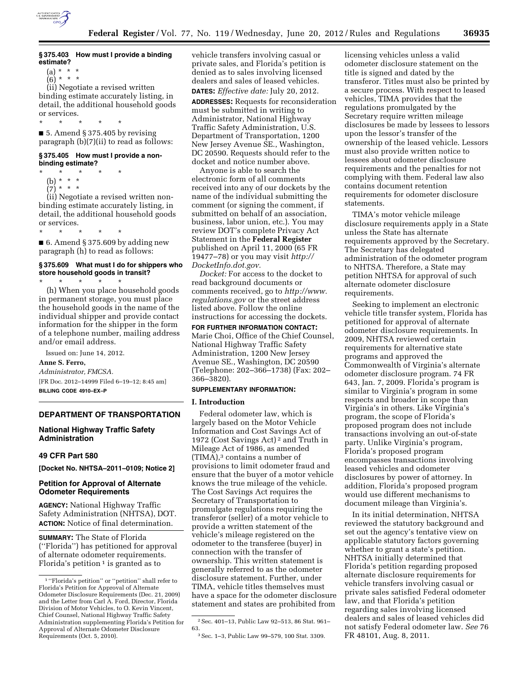

# **§ 375.403 How must I provide a binding estimate?**

- (a) \* \* \*  $(6) * * *$
- 

(ii) Negotiate a revised written binding estimate accurately listing, in detail, the additional household goods or services.

\* \* \* \* \* ■ 5. Amend § 375.405 by revising paragraph (b)(7)(ii) to read as follows:

# **§ 375.405 How must I provide a nonbinding estimate?**

 $*$  \* (b) \* \* \*  $(7) * * *$ 

(ii) Negotiate a revised written nonbinding estimate accurately listing, in detail, the additional household goods or services.

\* \* \* \* \* ■ 6. Amend § 375.609 by adding new paragraph (h) to read as follows:

### **§ 375.609 What must I do for shippers who store household goods in transit?**

(h) When you place household goods in permanent storage, you must place the household goods in the name of the individual shipper and provide contact information for the shipper in the form of a telephone number, mailing address and/or email address.

Issued on: June 14, 2012. **Anne S. Ferro,** 

\* \* \* \* \*

*Administrator, FMCSA.*  [FR Doc. 2012–14999 Filed 6–19–12; 8:45 am] **BILLING CODE 4910–EX–P** 

## **DEPARTMENT OF TRANSPORTATION**

## **National Highway Traffic Safety Administration**

# **49 CFR Part 580**

**[Docket No. NHTSA–2011–0109; Notice 2]** 

## **Petition for Approval of Alternate Odometer Requirements**

**AGENCY:** National Highway Traffic Safety Administration (NHTSA), DOT. **ACTION:** Notice of final determination.

**SUMMARY:** The State of Florida (''Florida'') has petitioned for approval of alternate odometer requirements. Florida's petition<sup>1</sup> is granted as to

vehicle transfers involving casual or private sales, and Florida's petition is denied as to sales involving licensed dealers and sales of leased vehicles.

**DATES:** *Effective date:* July 20, 2012.

**ADDRESSES:** Requests for reconsideration must be submitted in writing to Administrator, National Highway Traffic Safety Administration, U.S. Department of Transportation, 1200 New Jersey Avenue SE., Washington, DC 20590. Requests should refer to the docket and notice number above.

Anyone is able to search the electronic form of all comments received into any of our dockets by the name of the individual submitting the comment (or signing the comment, if submitted on behalf of an association, business, labor union, etc.). You may review DOT's complete Privacy Act Statement in the **Federal Register**  published on April 11, 2000 (65 FR 19477–78) or you may visit *[http://](http://DocketInfo.dot.gov) [DocketInfo.dot.gov.](http://DocketInfo.dot.gov)* 

*Docket:* For access to the docket to read background documents or comments received, go to *[http://www.](http://www.regulations.gov) [regulations.gov](http://www.regulations.gov)* or the street address listed above. Follow the online instructions for accessing the dockets.

**FOR FURTHER INFORMATION CONTACT:**  Marie Choi, Office of the Chief Counsel, National Highway Traffic Safety Administration, 1200 New Jersey Avenue SE., Washington, DC 20590 (Telephone: 202–366–1738) (Fax: 202– 366–3820).

## **SUPPLEMENTARY INFORMATION:**

#### **I. Introduction**

Federal odometer law, which is largely based on the Motor Vehicle Information and Cost Savings Act of 1972 (Cost Savings Act) 2 and Truth in Mileage Act of 1986, as amended (TIMA),3 contains a number of provisions to limit odometer fraud and ensure that the buyer of a motor vehicle knows the true mileage of the vehicle. The Cost Savings Act requires the Secretary of Transportation to promulgate regulations requiring the transferor (seller) of a motor vehicle to provide a written statement of the vehicle's mileage registered on the odometer to the transferee (buyer) in connection with the transfer of ownership. This written statement is generally referred to as the odometer disclosure statement. Further, under TIMA, vehicle titles themselves must have a space for the odometer disclosure statement and states are prohibited from

licensing vehicles unless a valid odometer disclosure statement on the title is signed and dated by the transferor. Titles must also be printed by a secure process. With respect to leased vehicles, TIMA provides that the regulations promulgated by the Secretary require written mileage disclosures be made by lessees to lessors upon the lessor's transfer of the ownership of the leased vehicle. Lessors must also provide written notice to lessees about odometer disclosure requirements and the penalties for not complying with them. Federal law also contains document retention requirements for odometer disclosure statements.

TIMA's motor vehicle mileage disclosure requirements apply in a State unless the State has alternate requirements approved by the Secretary. The Secretary has delegated administration of the odometer program to NHTSA. Therefore, a State may petition NHTSA for approval of such alternate odometer disclosure requirements.

Seeking to implement an electronic vehicle title transfer system, Florida has petitioned for approval of alternate odometer disclosure requirements. In 2009, NHTSA reviewed certain requirements for alternative state programs and approved the Commonwealth of Virginia's alternate odometer disclosure program. 74 FR 643, Jan. 7, 2009. Florida's program is similar to Virginia's program in some respects and broader in scope than Virginia's in others. Like Virginia's program, the scope of Florida's proposed program does not include transactions involving an out-of-state party. Unlike Virginia's program, Florida's proposed program encompasses transactions involving leased vehicles and odometer disclosures by power of attorney. In addition, Florida's proposed program would use different mechanisms to document mileage than Virginia's.

In its initial determination, NHTSA reviewed the statutory background and set out the agency's tentative view on applicable statutory factors governing whether to grant a state's petition. NHTSA initially determined that Florida's petition regarding proposed alternate disclosure requirements for vehicle transfers involving casual or private sales satisfied Federal odometer law, and that Florida's petition regarding sales involving licensed dealers and sales of leased vehicles did not satisfy Federal odometer law. *See* 76 FR 48101, Aug. 8, 2011.

<sup>1</sup> ''Florida's petition'' or ''petition'' shall refer to Florida's Petition for Approval of Alternate Odometer Disclosure Requirements (Dec. 21, 2009) and the Letter from Carl A. Ford, Director, Florida Division of Motor Vehicles, to O. Kevin Vincent, Chief Counsel, National Highway Traffic Safety Administration supplementing Florida's Petition for Approval of Alternate Odometer Disclosure Requirements (Oct. 5, 2010).

 $^2$  Sec. 401–13, Public Law 92–513, 86 Stat. 961– 63.

<sup>3</sup>Sec. 1–3, Public Law 99–579, 100 Stat. 3309.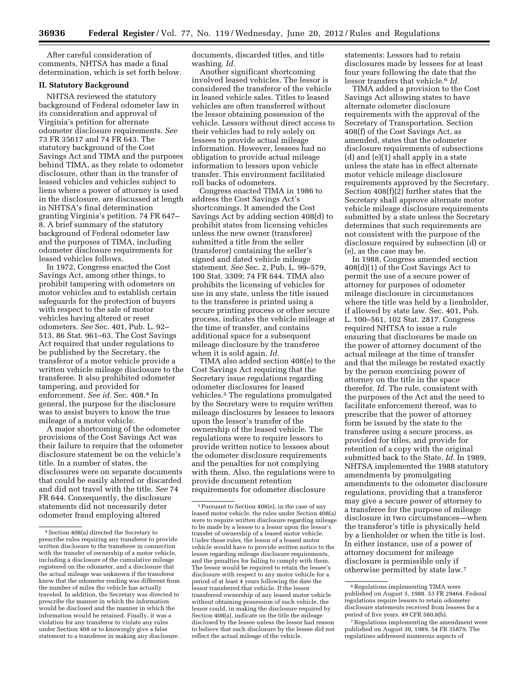After careful consideration of comments, NHTSA has made a final determination, which is set forth below.

### **II. Statutory Background**

NHTSA reviewed the statutory background of Federal odometer law in its consideration and approval of Virginia's petition for alternate odometer disclosure requirements. *See*  73 FR 35617 and 74 FR 643. The statutory background of the Cost Savings Act and TIMA and the purposes behind TIMA, as they relate to odometer disclosure, other than in the transfer of leased vehicles and vehicles subject to liens where a power of attorney is used in the disclosure, are discussed at length in NHTSA's final determination granting Virginia's petition. 74 FR 647– 8. A brief summary of the statutory background of Federal odometer law and the purposes of TIMA, including odometer disclosure requirements for leased vehicles follows.

In 1972, Congress enacted the Cost Savings Act, among other things, to prohibit tampering with odometers on motor vehicles and to establish certain safeguards for the protection of buyers with respect to the sale of motor vehicles having altered or reset odometers. *See* Sec. 401, Pub. L. 92– 513, 86 Stat. 961–63. The Cost Savings Act required that under regulations to be published by the Secretary, the transferor of a motor vehicle provide a written vehicle mileage disclosure to the transferee. It also prohibited odometer tampering, and provided for enforcement. *See id.* Sec. 408.4 In general, the purpose for the disclosure was to assist buyers to know the true mileage of a motor vehicle.

A major shortcoming of the odometer provisions of the Cost Savings Act was their failure to require that the odometer disclosure statement be on the vehicle's title. In a number of states, the disclosures were on separate documents that could be easily altered or discarded and did not travel with the title. *See* 74 FR 644. Consequently, the disclosure statements did not necessarily deter odometer fraud employing altered

documents, discarded titles, and title washing. *Id.* 

Another significant shortcoming involved leased vehicles. The lessor is considered the transferor of the vehicle in leased vehicle sales. Titles to leased vehicles are often transferred without the lessor obtaining possession of the vehicle. Lessors without direct access to their vehicles had to rely solely on lessees to provide actual mileage information. However, lessees had no obligation to provide actual mileage information to lessors upon vehicle transfer. This environment facilitated roll backs of odometers.

Congress enacted TIMA in 1986 to address the Cost Savings Act's shortcomings. It amended the Cost Savings Act by adding section 408(d) to prohibit states from licensing vehicles unless the new owner (transferee) submitted a title from the seller (transferor) containing the seller's signed and dated vehicle mileage statement. *See* Sec. 2, Pub. L. 99–579, 100 Stat. 3309; 74 FR 644. TIMA also prohibits the licensing of vehicles for use in any state, unless the title issued to the transferee is printed using a secure printing process or other secure process, indicates the vehicle mileage at the time of transfer, and contains additional space for a subsequent mileage disclosure by the transferee when it is sold again. *Id.* 

TIMA also added section 408(e) to the Cost Savings Act requiring that the Secretary issue regulations regarding odometer disclosures for leased vehicles.5 The regulations promulgated by the Secretary were to require written mileage disclosures by lessees to lessors upon the lessor's transfer of the ownership of the leased vehicle. The regulations were to require lessors to provide written notice to lessees about the odometer disclosure requirements and the penalties for not complying with them. Also, the regulations were to provide document retention requirements for odometer disclosure

statements: Lessors had to retain disclosures made by lessees for at least four years following the date that the lessor transfers that vehicle.6 *Id.* 

TIMA added a provision to the Cost Savings Act allowing states to have alternate odometer disclosure requirements with the approval of the Secretary of Transportation. Section 408(f) of the Cost Savings Act, as amended, states that the odometer disclosure requirements of subsections (d) and (e)(1) shall apply in a state unless the state has in effect alternate motor vehicle mileage disclosure requirements approved by the Secretary. Section 408(f)(2) further states that the Secretary shall approve alternate motor vehicle mileage disclosure requirements submitted by a state unless the Secretary determines that such requirements are not consistent with the purpose of the disclosure required by subsection (d) or (e), as the case may be.

In 1988, Congress amended section 408(d)(1) of the Cost Savings Act to permit the use of a secure power of attorney for purposes of odometer mileage disclosure in circumstances where the title was held by a lienholder, if allowed by state law. Sec. 401, Pub. L. 100–561, 102 Stat. 2817. Congress required NHTSA to issue a rule ensuring that disclosures be made on the power of attorney document of the actual mileage at the time of transfer and that the mileage be restated exactly by the person exercising power of attorney on the title in the space therefor. *Id.* The rule, consistent with the purposes of the Act and the need to facilitate enforcement thereof, was to prescribe that the power of attorney form be issued by the state to the transferee using a secure process, as provided for titles, and provide for retention of a copy with the original submitted back to the State. *Id.* In 1989, NHTSA implemented the 1988 statutory amendments by promulgating amendments to the odometer disclosure regulations, providing that a transferor may give a secure power of attorney to a transferee for the purpose of mileage disclosure in two circumstances—when the transferor's title is physically held by a lienholder or when the title is lost. In either instance, use of a power of attorney document for mileage disclosure is permissible only if otherwise permitted by state law.7

<sup>4</sup>Section 408(a) directed the Secretary to prescribe rules requiring any transferor to provide written disclosure to the transferee in connection with the transfer of ownership of a motor vehicle, including a disclosure of the cumulative mileage registered on the odometer, and a disclosure that the actual mileage was unknown if the transferor knew that the odometer reading was different from the number of miles the vehicle has actually traveled. In addition, the Secretary was directed to prescribe the manner in which the information would be disclosed and the manner in which the information would be retained. Finally, it was a violation for any transferor to violate any rules under Section 408 or to knowingly give a false statement to a transferee in making any disclosure.

<sup>5</sup>Pursuant to Section 408(e), in the case of any leased motor vehicle, the rules under Section 408(a) were to require written disclosure regarding mileage to be made by a lessee to a lessor upon the lessor's transfer of ownership of a leased motor vehicle. Under these rules, the lessor of a leased motor vehicle would have to provide written notice to the lessee regarding mileage disclosure requirements, and the penalties for failing to comply with them. The lessor would be required to retain the lessee's disclosure with respect to any motor vehicle for a period of at least 4 years following the date the lessor transferred that vehicle. If the lessor transferred ownership of any leased motor vehicle without obtaining possession of such vehicle, the lessor could, in making the disclosure required by Section 408(a), indicate on the title the mileage disclosed by the lessee unless the lessor had reason to believe that such disclosure by the lessee did not reflect the actual mileage of the vehicle.

<sup>6</sup>Regulations implementing TIMA were published on August 5, 1988. 53 FR 29464. Federal regulations require lessors to retain odometer disclosure statements received from lessees for a period of five years. 49 CFR 580.8(b).

<sup>7</sup>Regulations implementing the amendment were published on August 30, 1989. 54 FR 35879. The regulations addressed numerous aspects of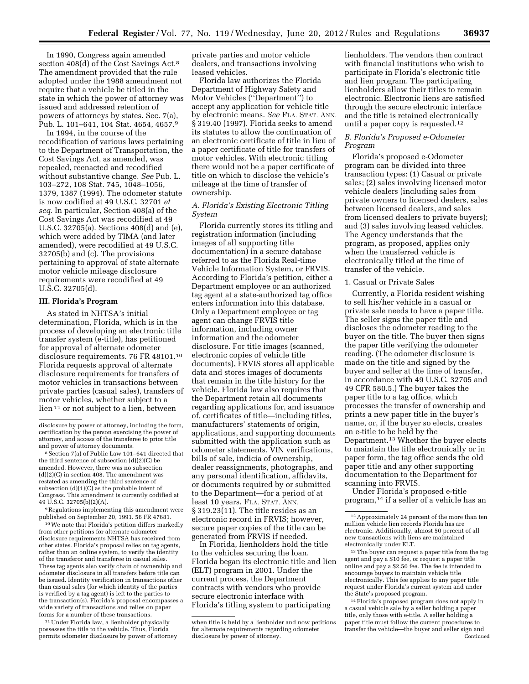In 1990, Congress again amended section 408(d) of the Cost Savings Act.8 The amendment provided that the rule adopted under the 1988 amendment not require that a vehicle be titled in the state in which the power of attorney was issued and addressed retention of powers of attorneys by states. Sec. 7(a), Pub. L. 101–641, 104 Stat. 4654, 4657.9

In 1994, in the course of the recodification of various laws pertaining to the Department of Transportation, the Cost Savings Act, as amended, was repealed, reenacted and recodified without substantive change. *See* Pub. L. 103–272, 108 Stat. 745, 1048–1056, 1379, 1387 (1994). The odometer statute is now codified at 49 U.S.C. 32701 *et seq.* In particular, Section 408(a) of the Cost Savings Act was recodified at 49 U.S.C. 32705(a). Sections 408(d) and (e), which were added by TIMA (and later amended), were recodified at 49 U.S.C. 32705(b) and (c). The provisions pertaining to approval of state alternate motor vehicle mileage disclosure requirements were recodified at 49 U.S.C. 32705(d).

### **III. Florida's Program**

As stated in NHTSA's initial determination, Florida, which is in the process of developing an electronic title transfer system (e-title), has petitioned for approval of alternate odometer disclosure requirements. 76 FR 48101.10 Florida requests approval of alternate disclosure requirements for transfers of motor vehicles in transactions between private parties (casual sales), transfers of motor vehicles, whether subject to a lien 11 or not subject to a lien, between

9Regulations implementing this amendment were published on September 20, 1991. 56 FR 47681.

10We note that Florida's petition differs markedly from other petitions for alternate odometer disclosure requirements NHTSA has received from other states. Florida's proposal relies on tag agents, rather than an online system, to verify the identity of the transferor and transferee in casual sales. These tag agents also verify chain of ownership and odometer disclosure in all transfers before title can be issued. Identity verification in transactions other than casual sales (for which identity of the parties is verified by a tag agent) is left to the parties to the transaction(s). Florida's proposal encompasses a wide variety of transactions and relies on paper forms for a number of these transactions.

<sup>11</sup> Under Florida law, a lienholder physically possesses the title to the vehicle. Thus, Florida permits odometer disclosure by power of attorney

private parties and motor vehicle dealers, and transactions involving leased vehicles.

Florida law authorizes the Florida Department of Highway Safety and Motor Vehicles (''Department'') to accept any application for vehicle title by electronic means. *See* FLA. STAT. ANN. § 319.40 (1997). Florida seeks to amend its statutes to allow the continuation of an electronic certificate of title in lieu of a paper certificate of title for transfers of motor vehicles. With electronic titling there would not be a paper certificate of title on which to disclose the vehicle's mileage at the time of transfer of ownership.

# *A. Florida's Existing Electronic Titling System*

Florida currently stores its titling and registration information (including images of all supporting title documentation) in a secure database referred to as the Florida Real-time Vehicle Information System, or FRVIS. According to Florida's petition, either a Department employee or an authorized tag agent at a state-authorized tag office enters information into this database. Only a Department employee or tag agent can change FRVIS title information, including owner information and the odometer disclosure. For title images (scanned, electronic copies of vehicle title documents), FRVIS stores all applicable data and stores images of documents that remain in the title history for the vehicle. Florida law also requires that the Department retain all documents regarding applications for, and issuance of, certificates of title—including titles, manufacturers' statements of origin, applications, and supporting documents submitted with the application such as odometer statements, VIN verifications, bills of sale, indicia of ownership, dealer reassignments, photographs, and any personal identification, affidavits, or documents required by or submitted to the Department—for a period of at least 10 years. FLA. STAT. ANN. § 319.23(11). The title resides as an electronic record in FRVIS; however, secure paper copies of the title can be generated from FRVIS if needed.

In Florida, lienholders hold the title to the vehicles securing the loan. Florida began its electronic title and lien (ELT) program in 2001. Under the current process, the Department contracts with vendors who provide secure electronic interface with Florida's titling system to participating

lienholders. The vendors then contract with financial institutions who wish to participate in Florida's electronic title and lien program. The participating lienholders allow their titles to remain electronic. Electronic liens are satisfied through the secure electronic interface and the title is retained electronically until a paper copy is requested.12

# *B. Florida's Proposed e-Odometer Program*

Florida's proposed e-Odometer program can be divided into three transaction types: (1) Casual or private sales; (2) sales involving licensed motor vehicle dealers (including sales from private owners to licensed dealers, sales between licensed dealers, and sales from licensed dealers to private buyers); and (3) sales involving leased vehicles. The Agency understands that the program, as proposed, applies only when the transferred vehicle is electronically titled at the time of transfer of the vehicle.

# 1. Casual or Private Sales

Currently, a Florida resident wishing to sell his/her vehicle in a casual or private sale needs to have a paper title. The seller signs the paper title and discloses the odometer reading to the buyer on the title. The buyer then signs the paper title verifying the odometer reading. (The odometer disclosure is made on the title and signed by the buyer and seller at the time of transfer, in accordance with 49 U.S.C. 32705 and 49 CFR 580.5.) The buyer takes the paper title to a tag office, which processes the transfer of ownership and prints a new paper title in the buyer's name, or, if the buyer so elects, creates an e-title to be held by the Department.13 Whether the buyer elects to maintain the title electronically or in paper form, the tag office sends the old paper title and any other supporting documentation to the Department for scanning into FRVIS.

Under Florida's proposed e-title program,14 if a seller of a vehicle has an

<sup>13</sup> The buyer can request a paper title from the tag agent and pay a \$10 fee, or request a paper title online and pay a \$2.50 fee. The fee is intended to encourage buyers to maintain vehicle title electronically. This fee applies to any paper title request under Florida's current system and under the State's proposed program.

14Florida's proposed program does not apply in a casual vehicle sale by a seller holding a paper title, only those with e-title. A seller holding a paper title must follow the current procedures to transfer the vehicle—the buyer and seller sign and Continued

disclosure by power of attorney, including the form, certification by the person exercising the power of attorney, and access of the transferee to prior title and power of attorney documents.

<sup>8</sup>Section 7(a) of Public Law 101–641 directed that the third sentence of subsection (d)(2)(C) be amended. However, there was no subsection (d)(2)(C) in section 408. The amendment was restated as amending the third sentence of subsection  $(d)(1)(C)$  as the probable intent of Congress. This amendment is currently codified at 49 U.S.C. 32705(b)(2)(A).

when title is held by a lienholder and now petitions for alternate requirements regarding odometer disclosure by power of attorney.

<sup>12</sup>Approximately 24 percent of the more than ten million vehicle lien records Florida has are electronic. Additionally, almost 50 percent of all new transactions with liens are maintained electronically under ELT.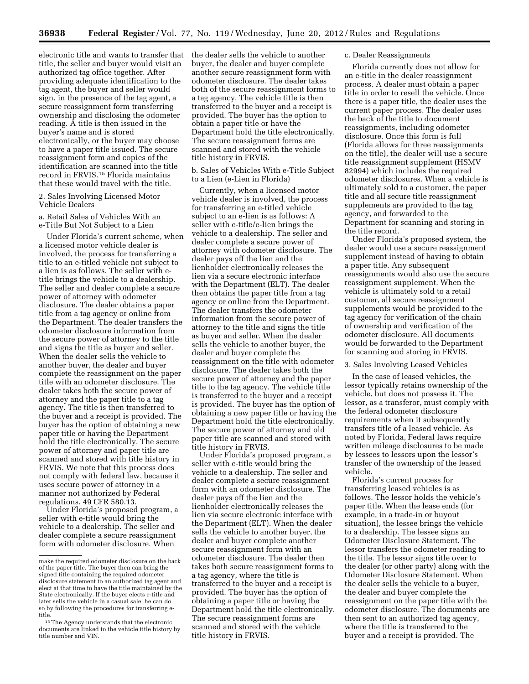electronic title and wants to transfer that title, the seller and buyer would visit an authorized tag office together. After providing adequate identification to the tag agent, the buyer and seller would sign, in the presence of the tag agent, a secure reassignment form transferring ownership and disclosing the odometer reading. A title is then issued in the buyer's name and is stored electronically, or the buyer may choose to have a paper title issued. The secure reassignment form and copies of the identification are scanned into the title record in FRVIS.15 Florida maintains that these would travel with the title.

2. Sales Involving Licensed Motor Vehicle Dealers

a. Retail Sales of Vehicles With an e-Title But Not Subject to a Lien

Under Florida's current scheme, when a licensed motor vehicle dealer is involved, the process for transferring a title to an e-titled vehicle not subject to a lien is as follows. The seller with etitle brings the vehicle to a dealership. The seller and dealer complete a secure power of attorney with odometer disclosure. The dealer obtains a paper title from a tag agency or online from the Department. The dealer transfers the odometer disclosure information from the secure power of attorney to the title and signs the title as buyer and seller. When the dealer sells the vehicle to another buyer, the dealer and buyer complete the reassignment on the paper title with an odometer disclosure. The dealer takes both the secure power of attorney and the paper title to a tag agency. The title is then transferred to the buyer and a receipt is provided. The buyer has the option of obtaining a new paper title or having the Department hold the title electronically. The secure power of attorney and paper title are scanned and stored with title history in FRVIS. We note that this process does not comply with federal law, because it uses secure power of attorney in a manner not authorized by Federal regulations. 49 CFR 580.13.

Under Florida's proposed program, a seller with e-title would bring the vehicle to a dealership. The seller and dealer complete a secure reassignment form with odometer disclosure. When

the dealer sells the vehicle to another buyer, the dealer and buyer complete another secure reassignment form with odometer disclosure. The dealer takes both of the secure reassignment forms to a tag agency. The vehicle title is then transferred to the buyer and a receipt is provided. The buyer has the option to obtain a paper title or have the Department hold the title electronically. The secure reassignment forms are scanned and stored with the vehicle title history in FRVIS.

b. Sales of Vehicles With e-Title Subject to a Lien (e-Lien in Florida)

Currently, when a licensed motor vehicle dealer is involved, the process for transferring an e-titled vehicle subject to an e-lien is as follows: A seller with e-title/e-lien brings the vehicle to a dealership. The seller and dealer complete a secure power of attorney with odometer disclosure. The dealer pays off the lien and the lienholder electronically releases the lien via a secure electronic interface with the Department (ELT). The dealer then obtains the paper title from a tag agency or online from the Department. The dealer transfers the odometer information from the secure power of attorney to the title and signs the title as buyer and seller. When the dealer sells the vehicle to another buyer, the dealer and buyer complete the reassignment on the title with odometer disclosure. The dealer takes both the secure power of attorney and the paper title to the tag agency. The vehicle title is transferred to the buyer and a receipt is provided. The buyer has the option of obtaining a new paper title or having the Department hold the title electronically. The secure power of attorney and old paper title are scanned and stored with title history in FRVIS.

Under Florida's proposed program, a seller with e-title would bring the vehicle to a dealership. The seller and dealer complete a secure reassignment form with an odometer disclosure. The dealer pays off the lien and the lienholder electronically releases the lien via secure electronic interface with the Department (ELT). When the dealer sells the vehicle to another buyer, the dealer and buyer complete another secure reassignment form with an odometer disclosure. The dealer then takes both secure reassignment forms to a tag agency, where the title is transferred to the buyer and a receipt is provided. The buyer has the option of obtaining a paper title or having the Department hold the title electronically. The secure reassignment forms are scanned and stored with the vehicle title history in FRVIS.

#### c. Dealer Reassignments

Florida currently does not allow for an e-title in the dealer reassignment process. A dealer must obtain a paper title in order to resell the vehicle. Once there is a paper title, the dealer uses the current paper process. The dealer uses the back of the title to document reassignments, including odometer disclosure. Once this form is full (Florida allows for three reassignments on the title), the dealer will use a secure title reassignment supplement (HSMV 82994) which includes the required odometer disclosures. When a vehicle is ultimately sold to a customer, the paper title and all secure title reassignment supplements are provided to the tag agency, and forwarded to the Department for scanning and storing in the title record.

Under Florida's proposed system, the dealer would use a secure reassignment supplement instead of having to obtain a paper title. Any subsequent reassignments would also use the secure reassignment supplement. When the vehicle is ultimately sold to a retail customer, all secure reassignment supplements would be provided to the tag agency for verification of the chain of ownership and verification of the odometer disclosure. All documents would be forwarded to the Department for scanning and storing in FRVIS.

3. Sales Involving Leased Vehicles

In the case of leased vehicles, the lessor typically retains ownership of the vehicle, but does not possess it. The lessor, as a transferor, must comply with the federal odometer disclosure requirements when it subsequently transfers title of a leased vehicle. As noted by Florida, Federal laws require written mileage disclosures to be made by lessees to lessors upon the lessor's transfer of the ownership of the leased vehicle.

Florida's current process for transferring leased vehicles is as follows. The lessor holds the vehicle's paper title. When the lease ends (for example, in a trade-in or buyout situation), the lessee brings the vehicle to a dealership. The lessee signs an Odometer Disclosure Statement. The lessor transfers the odometer reading to the title. The lessor signs title over to the dealer (or other party) along with the Odometer Disclosure Statement. When the dealer sells the vehicle to a buyer, the dealer and buyer complete the reassignment on the paper title with the odometer disclosure. The documents are then sent to an authorized tag agency, where the title is transferred to the buyer and a receipt is provided. The

make the required odometer disclosure on the back of the paper title. The buyer then can bring the signed title containing the required odometer disclosure statement to an authorized tag agent and elect at that time to have the title maintained by the State electronically. If the buyer elects e-title and later sells the vehicle in a casual sale, he can do so by following the procedures for transferring etitle.

<sup>15</sup>The Agency understands that the electronic documents are linked to the vehicle title history by title number and VIN.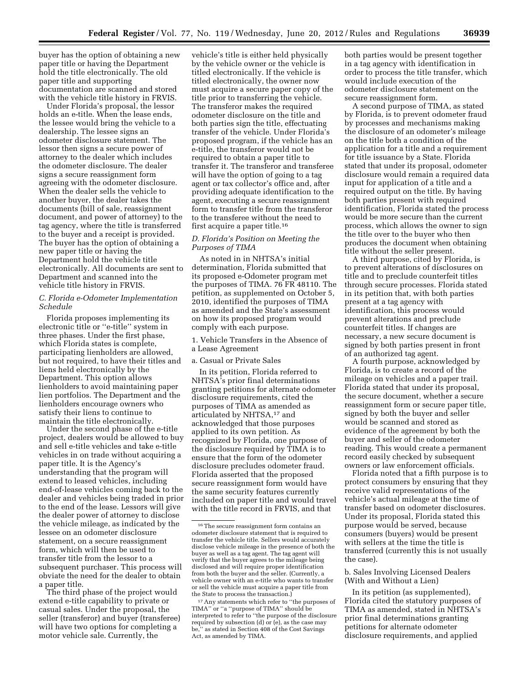buyer has the option of obtaining a new paper title or having the Department hold the title electronically. The old paper title and supporting documentation are scanned and stored with the vehicle title history in FRVIS.

Under Florida's proposal, the lessor holds an e-title. When the lease ends, the lessee would bring the vehicle to a dealership. The lessee signs an odometer disclosure statement. The lessor then signs a secure power of attorney to the dealer which includes the odometer disclosure. The dealer signs a secure reassignment form agreeing with the odometer disclosure. When the dealer sells the vehicle to another buyer, the dealer takes the documents (bill of sale, reassignment document, and power of attorney) to the tag agency, where the title is transferred to the buyer and a receipt is provided. The buyer has the option of obtaining a new paper title or having the Department hold the vehicle title electronically. All documents are sent to Department and scanned into the vehicle title history in FRVIS.

## *C. Florida e-Odometer Implementation Schedule*

Florida proposes implementing its electronic title or ''e-title'' system in three phases. Under the first phase, which Florida states is complete, participating lienholders are allowed, but not required, to have their titles and liens held electronically by the Department. This option allows lienholders to avoid maintaining paper lien portfolios. The Department and the lienholders encourage owners who satisfy their liens to continue to maintain the title electronically.

Under the second phase of the e-title project, dealers would be allowed to buy and sell e-title vehicles and take e-title vehicles in on trade without acquiring a paper title. It is the Agency's understanding that the program will extend to leased vehicles, including end-of-lease vehicles coming back to the dealer and vehicles being traded in prior to the end of the lease. Lessors will give the dealer power of attorney to disclose the vehicle mileage, as indicated by the lessee on an odometer disclosure statement, on a secure reassignment form, which will then be used to transfer title from the lessor to a subsequent purchaser. This process will obviate the need for the dealer to obtain a paper title.

The third phase of the project would extend e-title capability to private or casual sales. Under the proposal, the seller (transferor) and buyer (transferee) will have two options for completing a motor vehicle sale. Currently, the

vehicle's title is either held physically by the vehicle owner or the vehicle is titled electronically. If the vehicle is titled electronically, the owner now must acquire a secure paper copy of the title prior to transferring the vehicle. The transferor makes the required odometer disclosure on the title and both parties sign the title, effectuating transfer of the vehicle. Under Florida's proposed program, if the vehicle has an e-title, the transferor would not be required to obtain a paper title to transfer it. The transferor and transferee will have the option of going to a tag agent or tax collector's office and, after providing adequate identification to the agent, executing a secure reassignment form to transfer title from the transferor to the transferee without the need to first acquire a paper title.16

# *D. Florida's Position on Meeting the Purposes of TIMA*

As noted in in NHTSA's initial determination, Florida submitted that its proposed e-Odometer program met the purposes of TIMA. 76 FR 48110. The petition, as supplemented on October 5, 2010, identified the purposes of TIMA as amended and the State's assessment on how its proposed program would comply with each purpose.

1. Vehicle Transfers in the Absence of a Lease Agreement

#### a. Casual or Private Sales

In its petition, Florida referred to NHTSA's prior final determinations granting petitions for alternate odometer disclosure requirements, cited the purposes of TIMA as amended as articulated by NHTSA,17 and acknowledged that those purposes applied to its own petition. As recognized by Florida, one purpose of the disclosure required by TIMA is to ensure that the form of the odometer disclosure precludes odometer fraud. Florida asserted that the proposed secure reassignment form would have the same security features currently included on paper title and would travel with the title record in FRVIS, and that

both parties would be present together in a tag agency with identification in order to process the title transfer, which would include execution of the odometer disclosure statement on the secure reassignment form.

A second purpose of TIMA, as stated by Florida, is to prevent odometer fraud by processes and mechanisms making the disclosure of an odometer's mileage on the title both a condition of the application for a title and a requirement for title issuance by a State. Florida stated that under its proposal, odometer disclosure would remain a required data input for application of a title and a required output on the title. By having both parties present with required identification, Florida stated the process would be more secure than the current process, which allows the owner to sign the title over to the buyer who then produces the document when obtaining title without the seller present.

A third purpose, cited by Florida, is to prevent alterations of disclosures on title and to preclude counterfeit titles through secure processes. Florida stated in its petition that, with both parties present at a tag agency with identification, this process would prevent alterations and preclude counterfeit titles. If changes are necessary, a new secure document is signed by both parties present in front of an authorized tag agent.

A fourth purpose, acknowledged by Florida, is to create a record of the mileage on vehicles and a paper trail. Florida stated that under its proposal, the secure document, whether a secure reassignment form or secure paper title, signed by both the buyer and seller would be scanned and stored as evidence of the agreement by both the buyer and seller of the odometer reading. This would create a permanent record easily checked by subsequent owners or law enforcement officials.

Florida noted that a fifth purpose is to protect consumers by ensuring that they receive valid representations of the vehicle's actual mileage at the time of transfer based on odometer disclosures. Under its proposal, Florida stated this purpose would be served, because consumers (buyers) would be present with sellers at the time the title is transferred (currently this is not usually the case).

b. Sales Involving Licensed Dealers (With and Without a Lien)

In its petition (as supplemented), Florida cited the statutory purposes of TIMA as amended, stated in NHTSA's prior final determinations granting petitions for alternate odometer disclosure requirements, and applied

<sup>16</sup>The secure reassignment form contains an odometer disclosure statement that is required to transfer the vehicle title. Sellers would accurately disclose vehicle mileage in the presence of both the buyer as well as a tag agent. The tag agent will verify that the buyer agrees to the mileage being disclosed and will require proper identification from both the buyer and the seller. (Currently, a vehicle owner with an e-title who wants to transfer or sell the vehicle must acquire a paper title from the State to process the transaction.)

<sup>17</sup>Any statements which refer to ''the purposes of TIMA'' or ''a ''purpose of TIMA'' should be interpreted to refer to ''the purpose of the disclosure required by subsection (d) or  $(e)$ , as the case may be,'' as stated in Section 408 of the Cost Savings Act, as amended by TIMA.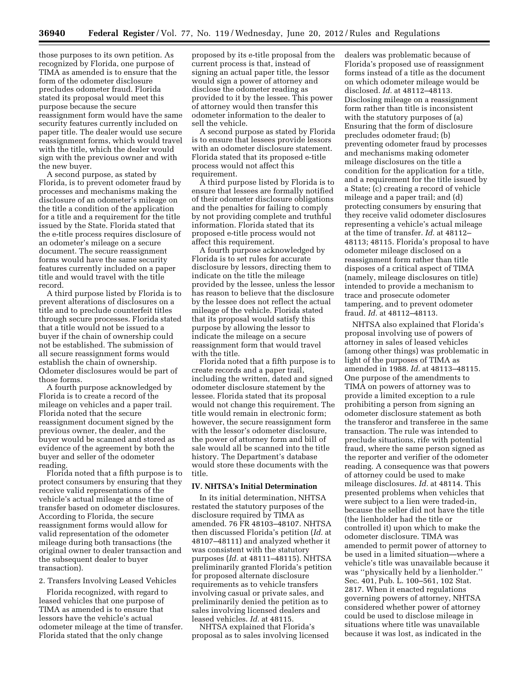those purposes to its own petition. As recognized by Florida, one purpose of TIMA as amended is to ensure that the form of the odometer disclosure precludes odometer fraud. Florida stated its proposal would meet this purpose because the secure reassignment form would have the same security features currently included on paper title. The dealer would use secure reassignment forms, which would travel with the title, which the dealer would sign with the previous owner and with the new buyer.

A second purpose, as stated by Florida, is to prevent odometer fraud by processes and mechanisms making the disclosure of an odometer's mileage on the title a condition of the application for a title and a requirement for the title issued by the State. Florida stated that the e-title process requires disclosure of an odometer's mileage on a secure document. The secure reassignment forms would have the same security features currently included on a paper title and would travel with the title record.

A third purpose listed by Florida is to prevent alterations of disclosures on a title and to preclude counterfeit titles through secure processes. Florida stated that a title would not be issued to a buyer if the chain of ownership could not be established. The submission of all secure reassignment forms would establish the chain of ownership. Odometer disclosures would be part of those forms.

A fourth purpose acknowledged by Florida is to create a record of the mileage on vehicles and a paper trail. Florida noted that the secure reassignment document signed by the previous owner, the dealer, and the buyer would be scanned and stored as evidence of the agreement by both the buyer and seller of the odometer reading.

Florida noted that a fifth purpose is to protect consumers by ensuring that they receive valid representations of the vehicle's actual mileage at the time of transfer based on odometer disclosures. According to Florida, the secure reassignment forms would allow for valid representation of the odometer mileage during both transactions (the original owner to dealer transaction and the subsequent dealer to buyer transaction).

## 2. Transfers Involving Leased Vehicles

Florida recognized, with regard to leased vehicles that one purpose of TIMA as amended is to ensure that lessors have the vehicle's actual odometer mileage at the time of transfer. Florida stated that the only change

proposed by its e-title proposal from the current process is that, instead of signing an actual paper title, the lessor would sign a power of attorney and disclose the odometer reading as provided to it by the lessee. This power of attorney would then transfer this odometer information to the dealer to sell the vehicle.

A second purpose as stated by Florida is to ensure that lessees provide lessors with an odometer disclosure statement. Florida stated that its proposed e-title process would not affect this requirement.

A third purpose listed by Florida is to ensure that lessees are formally notified of their odometer disclosure obligations and the penalties for failing to comply by not providing complete and truthful information. Florida stated that its proposed e-title process would not affect this requirement.

A fourth purpose acknowledged by Florida is to set rules for accurate disclosure by lessors, directing them to indicate on the title the mileage provided by the lessee, unless the lessor has reason to believe that the disclosure by the lessee does not reflect the actual mileage of the vehicle. Florida stated that its proposal would satisfy this purpose by allowing the lessor to indicate the mileage on a secure reassignment form that would travel with the title.

Florida noted that a fifth purpose is to create records and a paper trail, including the written, dated and signed odometer disclosure statement by the lessee. Florida stated that its proposal would not change this requirement. The title would remain in electronic form; however, the secure reassignment form with the lessor's odometer disclosure, the power of attorney form and bill of sale would all be scanned into the title history. The Department's database would store these documents with the title.

## **IV. NHTSA's Initial Determination**

In its initial determination, NHTSA restated the statutory purposes of the disclosure required by TIMA as amended. 76 FR 48103–48107. NHTSA then discussed Florida's petition (*Id.* at 48107–48111) and analyzed whether it was consistent with the statutory purposes (*Id.* at 48111–48115). NHTSA preliminarily granted Florida's petition for proposed alternate disclosure requirements as to vehicle transfers involving casual or private sales, and preliminarily denied the petition as to sales involving licensed dealers and leased vehicles. *Id.* at 48115.

NHTSA explained that Florida's proposal as to sales involving licensed

dealers was problematic because of Florida's proposed use of reassignment forms instead of a title as the document on which odometer mileage would be disclosed. *Id.* at 48112–48113. Disclosing mileage on a reassignment form rather than title is inconsistent with the statutory purposes of (a) Ensuring that the form of disclosure precludes odometer fraud; (b) preventing odometer fraud by processes and mechanisms making odometer mileage disclosures on the title a condition for the application for a title, and a requirement for the title issued by a State; (c) creating a record of vehicle mileage and a paper trail; and (d) protecting consumers by ensuring that they receive valid odometer disclosures representing a vehicle's actual mileage at the time of transfer. *Id.* at 48112– 48113; 48115. Florida's proposal to have odometer mileage disclosed on a reassignment form rather than title disposes of a critical aspect of TIMA (namely, mileage disclosures on title) intended to provide a mechanism to trace and prosecute odometer tampering, and to prevent odometer fraud. *Id.* at 48112–48113.

NHTSA also explained that Florida's proposal involving use of powers of attorney in sales of leased vehicles (among other things) was problematic in light of the purposes of TIMA as amended in 1988. *Id.* at 48113–48115. One purpose of the amendments to TIMA on powers of attorney was to provide a limited exception to a rule prohibiting a person from signing an odometer disclosure statement as both the transferor and transferee in the same transaction. The rule was intended to preclude situations, rife with potential fraud, where the same person signed as the reporter and verifier of the odometer reading. A consequence was that powers of attorney could be used to make mileage disclosures. *Id.* at 48114. This presented problems when vehicles that were subject to a lien were traded-in, because the seller did not have the title (the lienholder had the title or controlled it) upon which to make the odometer disclosure. TIMA was amended to permit power of attorney to be used in a limited situation—where a vehicle's title was unavailable because it was ''physically held by a lienholder.'' Sec. 401, Pub. L. 100–561, 102 Stat. 2817. When it enacted regulations governing powers of attorney, NHTSA considered whether power of attorney could be used to disclose mileage in situations where title was unavailable because it was lost, as indicated in the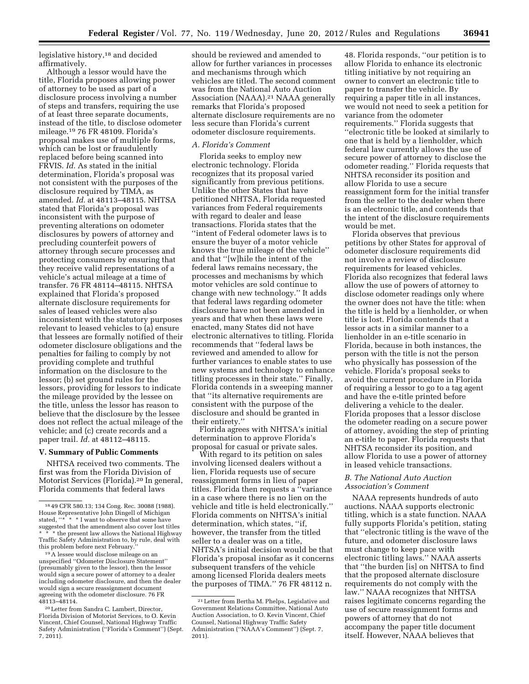legislative history,<sup>18</sup> and decided affirmatively.

Although a lessor would have the title, Florida proposes allowing power of attorney to be used as part of a disclosure process involving a number of steps and transfers, requiring the use of at least three separate documents, instead of the title, to disclose odometer mileage.19 76 FR 48109. Florida's proposal makes use of multiple forms, which can be lost or fraudulently replaced before being scanned into FRVIS. *Id.* As stated in the initial determination, Florida's proposal was not consistent with the purposes of the disclosure required by TIMA, as amended. *Id.* at 48113–48115. NHTSA stated that Florida's proposal was inconsistent with the purpose of preventing alterations on odometer disclosures by powers of attorney and precluding counterfeit powers of attorney through secure processes and protecting consumers by ensuring that they receive valid representations of a vehicle's actual mileage at a time of transfer. 76 FR 48114–48115. NHTSA explained that Florida's proposed alternate disclosure requirements for sales of leased vehicles were also inconsistent with the statutory purposes relevant to leased vehicles to (a) ensure that lessees are formally notified of their odometer disclosure obligations and the penalties for failing to comply by not providing complete and truthful information on the disclosure to the lessor; (b) set ground rules for the lessors, providing for lessors to indicate the mileage provided by the lessee on the title, unless the lessor has reason to believe that the disclosure by the lessee does not reflect the actual mileage of the vehicle; and (c) create records and a paper trail. *Id.* at 48112–48115.

# **V. Summary of Public Comments**

NHTSA received two comments. The first was from the Florida Division of Motorist Services (Florida).20 In general, Florida comments that federal laws

 $19A$  lessee would disclose mileage on an unspecified ''Odometer Disclosure Statement'' (presumably given to the lessor), then the lessor would sign a secure power of attorney to a dealer including odometer disclosure, and then the dealer would sign a secure reassignment document agreeing with the odometer disclosure. 76 FR<br>48113-48114.

should be reviewed and amended to allow for further variances in processes and mechanisms through which vehicles are titled. The second comment was from the National Auto Auction Association (NAAA).<sup>21</sup> NAAA generally remarks that Florida's proposed alternate disclosure requirements are no less secure than Florida's current odometer disclosure requirements.

#### *A. Florida's Comment*

Florida seeks to employ new electronic technology. Florida recognizes that its proposal varied significantly from previous petitions. Unlike the other States that have petitioned NHTSA, Florida requested variances from Federal requirements with regard to dealer and lease transactions. Florida states that the ''intent of Federal odometer laws is to ensure the buyer of a motor vehicle knows the true mileage of the vehicle'' and that ''[w]hile the intent of the federal laws remains necessary, the processes and mechanisms by which motor vehicles are sold continue to change with new technology.'' It adds that federal laws regarding odometer disclosure have not been amended in years and that when these laws were enacted, many States did not have electronic alternatives to titling. Florida recommends that ''federal laws be reviewed and amended to allow for further variances to enable states to use new systems and technology to enhance titling processes in their state.'' Finally, Florida contends in a sweeping manner that ''its alternative requirements are consistent with the purpose of the disclosure and should be granted in their entirety.''

Florida agrees with NHTSA's initial determination to approve Florida's proposal for casual or private sales.

With regard to its petition on sales involving licensed dealers without a lien, Florida requests use of secure reassignment forms in lieu of paper titles. Florida then requests a ''variance in a case where there is no lien on the vehicle and title is held electronically.'' Florida comments on NHTSA's initial determination, which states, ''if, however, the transfer from the titled seller to a dealer was on a title, NHTSA's initial decision would be that Florida's proposal insofar as it concerns subsequent transfers of the vehicle among licensed Florida dealers meets the purposes of TIMA.'' 76 FR 48112 n.

48. Florida responds, ''our petition is to allow Florida to enhance its electronic titling initiative by not requiring an owner to convert an electronic title to paper to transfer the vehicle. By requiring a paper title in all instances, we would not need to seek a petition for variance from the odometer requirements.'' Florida suggests that ''electronic title be looked at similarly to one that is held by a lienholder, which federal law currently allows the use of secure power of attorney to disclose the odometer reading.'' Florida requests that NHTSA reconsider its position and allow Florida to use a secure reassignment form for the initial transfer from the seller to the dealer when there is an electronic title, and contends that the intent of the disclosure requirements would be met.

Florida observes that previous petitions by other States for approval of odometer disclosure requirements did not involve a review of disclosure requirements for leased vehicles. Florida also recognizes that federal laws allow the use of powers of attorney to disclose odometer readings only where the owner does not have the title: when the title is held by a lienholder, or when title is lost. Florida contends that a lessor acts in a similar manner to a lienholder in an e-title scenario in Florida, because in both instances, the person with the title is not the person who physically has possession of the vehicle. Florida's proposal seeks to avoid the current procedure in Florida of requiring a lessor to go to a tag agent and have the e-title printed before delivering a vehicle to the dealer. Florida proposes that a lessor disclose the odometer reading on a secure power of attorney, avoiding the step of printing an e-title to paper. Florida requests that NHTSA reconsider its position, and allow Florida to use a power of attorney in leased vehicle transactions.

# *B. The National Auto Auction Association's Comment*

NAAA represents hundreds of auto auctions. NAAA supports electronic titling, which is a state function. NAAA fully supports Florida's petition, stating that ''electronic titling is the wave of the future, and odometer disclosure laws must change to keep pace with electronic titling laws.'' NAAA asserts that ''the burden [is] on NHTSA to find that the proposed alternate disclosure requirements do not comply with the law.'' NAAA recognizes that NHTSA raises legitimate concerns regarding the use of secure reassignment forms and powers of attorney that do not accompany the paper title document itself. However, NAAA believes that

<sup>18</sup> 49 CFR 580.13; 134 Cong. Rec. 30088 (1988). House Representative John Dingell of Michigan<br>stated, "\* \* \* I want to observe that some have \* \* I want to observe that some have suggested that the amendment also cover lost titles \* the present law allows the National Highway Traffic Safety Administration to, by rule, deal with<br>this problem before next February."

<sup>&</sup>lt;sup>20</sup> Letter from Sandra C. Lambert, Director, Florida Division of Motorist Services, to O. Kevin Vincent, Chief Counsel, National Highway Traffic Safety Administration (''Florida's Comment'') (Sept. 7, 2011).

<sup>21</sup>Letter from Bertha M. Phelps, Legislative and Government Relations Committee, National Auto Auction Association, to O. Kevin Vincent, Chief Counsel, National Highway Traffic Safety Administration (''NAAA's Comment'') (Sept. 7, 2011).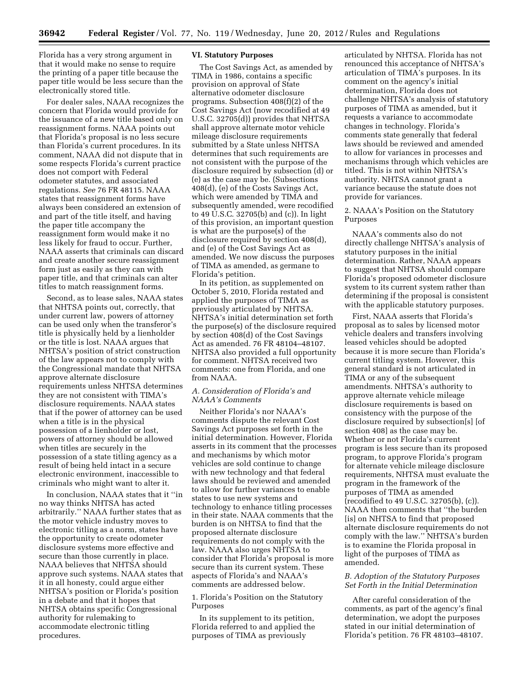Florida has a very strong argument in that it would make no sense to require the printing of a paper title because the paper title would be less secure than the electronically stored title.

For dealer sales, NAAA recognizes the concern that Florida would provide for the issuance of a new title based only on reassignment forms. NAAA points out that Florida's proposal is no less secure than Florida's current procedures. In its comment, NAAA did not dispute that in some respects Florida's current practice does not comport with Federal odometer statutes, and associated regulations. *See* 76 FR 48115. NAAA states that reassignment forms have always been considered an extension of and part of the title itself, and having the paper title accompany the reassignment form would make it no less likely for fraud to occur. Further, NAAA asserts that criminals can discard and create another secure reassignment form just as easily as they can with paper title, and that criminals can alter titles to match reassignment forms.

Second, as to lease sales, NAAA states that NHTSA points out, correctly, that under current law, powers of attorney can be used only when the transferor's title is physically held by a lienholder or the title is lost. NAAA argues that NHTSA's position of strict construction of the law appears not to comply with the Congressional mandate that NHTSA approve alternate disclosure requirements unless NHTSA determines they are not consistent with TIMA's disclosure requirements. NAAA states that if the power of attorney can be used when a title is in the physical possession of a lienholder or lost, powers of attorney should be allowed when titles are securely in the possession of a state titling agency as a result of being held intact in a secure electronic environment, inaccessible to criminals who might want to alter it.

In conclusion, NAAA states that it ''in no way thinks NHTSA has acted arbitrarily.'' NAAA further states that as the motor vehicle industry moves to electronic titling as a norm, states have the opportunity to create odometer disclosure systems more effective and secure than those currently in place. NAAA believes that NHTSA should approve such systems. NAAA states that it in all honesty, could argue either NHTSA's position or Florida's position in a debate and that it hopes that NHTSA obtains specific Congressional authority for rulemaking to accommodate electronic titling procedures.

#### **VI. Statutory Purposes**

The Cost Savings Act, as amended by TIMA in 1986, contains a specific provision on approval of State alternative odometer disclosure programs. Subsection 408(f)(2) of the Cost Savings Act (now recodified at 49 U.S.C. 32705(d)) provides that NHTSA shall approve alternate motor vehicle mileage disclosure requirements submitted by a State unless NHTSA determines that such requirements are not consistent with the purpose of the disclosure required by subsection (d) or (e) as the case may be. (Subsections 408(d), (e) of the Costs Savings Act, which were amended by TIMA and subsequently amended, were recodified to 49 U.S.C. 32705(b) and (c)). In light of this provision, an important question is what are the purpose(s) of the disclosure required by section 408(d), and (e) of the Cost Savings Act as amended. We now discuss the purposes of TIMA as amended, as germane to Florida's petition.

In its petition, as supplemented on October 5, 2010, Florida restated and applied the purposes of TIMA as previously articulated by NHTSA. NHTSA's initial determination set forth the purpose(s) of the disclosure required by section 408(d) of the Cost Savings Act as amended. 76 FR 48104–48107. NHTSA also provided a full opportunity for comment. NHTSA received two comments: one from Florida, and one from NAAA.

## *A. Consideration of Florida's and NAAA's Comments*

Neither Florida's nor NAAA's comments dispute the relevant Cost Savings Act purposes set forth in the initial determination. However, Florida asserts in its comment that the processes and mechanisms by which motor vehicles are sold continue to change with new technology and that federal laws should be reviewed and amended to allow for further variances to enable states to use new systems and technology to enhance titling processes in their state. NAAA comments that the burden is on NHTSA to find that the proposed alternate disclosure requirements do not comply with the law. NAAA also urges NHTSA to consider that Florida's proposal is more secure than its current system. These aspects of Florida's and NAAA's comments are addressed below.

1. Florida's Position on the Statutory Purposes

In its supplement to its petition, Florida referred to and applied the purposes of TIMA as previously

articulated by NHTSA. Florida has not renounced this acceptance of NHTSA's articulation of TIMA's purposes. In its comment on the agency's initial determination, Florida does not challenge NHTSA's analysis of statutory purposes of TIMA as amended, but it requests a variance to accommodate changes in technology. Florida's comments state generally that federal laws should be reviewed and amended to allow for variances in processes and mechanisms through which vehicles are titled. This is not within NHTSA's authority. NHTSA cannot grant a variance because the statute does not provide for variances.

## 2. NAAA's Position on the Statutory Purposes

NAAA's comments also do not directly challenge NHTSA's analysis of statutory purposes in the initial determination. Rather, NAAA appears to suggest that NHTSA should compare Florida's proposed odometer disclosure system to its current system rather than determining if the proposal is consistent with the applicable statutory purposes.

First, NAAA asserts that Florida's proposal as to sales by licensed motor vehicle dealers and transfers involving leased vehicles should be adopted because it is more secure than Florida's current titling system. However, this general standard is not articulated in TIMA or any of the subsequent amendments. NHTSA's authority to approve alternate vehicle mileage disclosure requirements is based on consistency with the purpose of the disclosure required by subsection[s] [of section 408] as the case may be. Whether or not Florida's current program is less secure than its proposed program, to approve Florida's program for alternate vehicle mileage disclosure requirements, NHTSA must evaluate the program in the framework of the purposes of TIMA as amended (recodified to 49 U.S.C. 32705(b), (c)). NAAA then comments that ''the burden [is] on NHTSA to find that proposed alternate disclosure requirements do not comply with the law.'' NHTSA's burden is to examine the Florida proposal in light of the purposes of TIMA as amended.

## *B. Adoption of the Statutory Purposes Set Forth in the Initial Determination*

After careful consideration of the comments, as part of the agency's final determination, we adopt the purposes stated in our initial determination of Florida's petition. 76 FR 48103–48107.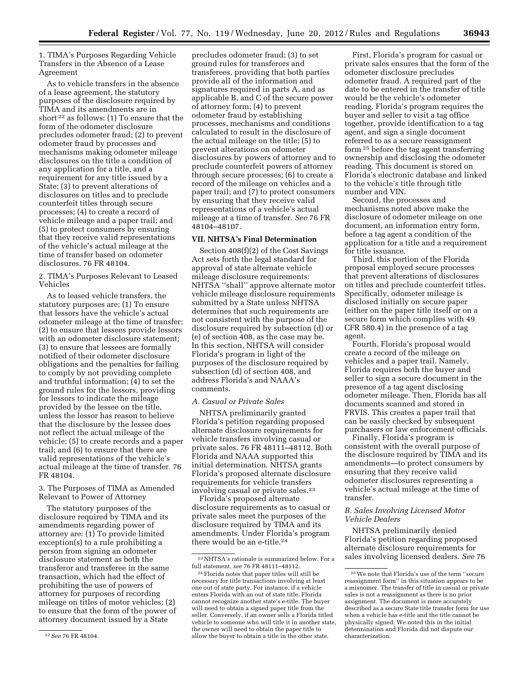1. TIMA's Purposes Regarding Vehicle Transfers in the Absence of a Lease Agreement

As to vehicle transfers in the absence of a lease agreement, the statutory purposes of the disclosure required by TIMA and its amendments are in short 22 as follows: (1) To ensure that the form of the odometer disclosure precludes odometer fraud; (2) to prevent odometer fraud by processes and mechanisms making odometer mileage disclosures on the title a condition of any application for a title, and a requirement for any title issued by a State; (3) to prevent alterations of disclosures on titles and to preclude counterfeit titles through secure processes; (4) to create a record of vehicle mileage and a paper trail; and (5) to protect consumers by ensuring that they receive valid representations of the vehicle's actual mileage at the time of transfer based on odometer disclosures. 76 FR 48104.

2. TIMA's Purposes Relevant to Leased Vehicles

As to leased vehicle transfers, the statutory purposes are: (1) To ensure that lessors have the vehicle's actual odometer mileage at the time of transfer; (2) to ensure that lessees provide lessors with an odometer disclosure statement; (3) to ensure that lessees are formally notified of their odometer disclosure obligations and the penalties for failing to comply by not providing complete and truthful information; (4) to set the ground rules for the lessors, providing for lessors to indicate the mileage provided by the lessee on the title, unless the lessor has reason to believe that the disclosure by the lessee does not reflect the actual mileage of the vehicle; (5) to create records and a paper trail; and (6) to ensure that there are valid representations of the vehicle's actual mileage at the time of transfer. 76 FR 48104.

# 3. The Purposes of TIMA as Amended Relevant to Power of Attorney

The statutory purposes of the disclosure required by TIMA and its amendments regarding power of attorney are: (1) To provide limited exception(s) to a rule prohibiting a person from signing an odometer disclosure statement as both the transferor and transferee in the same transaction, which had the effect of prohibiting the use of powers of attorney for purposes of recording mileage on titles of motor vehicles; (2) to ensure that the form of the power of attorney document issued by a State

precludes odometer fraud; (3) to set ground rules for transferors and transferees, providing that both parties provide all of the information and signatures required in parts A, and as applicable B, and C of the secure power of attorney form; (4) to prevent odometer fraud by establishing processes, mechanisms and conditions calculated to result in the disclosure of the actual mileage on the title; (5) to prevent alterations on odometer disclosures by powers of attorney and to preclude counterfeit powers of attorney through secure processes; (6) to create a record of the mileage on vehicles and a paper trail; and (7) to protect consumers by ensuring that they receive valid representations of a vehicle's actual mileage at a time of transfer. *See* 76 FR 48104–48107.

## **VII. NHTSA's Final Determination**

Section 408(f)(2) of the Cost Savings Act sets forth the legal standard for approval of state alternate vehicle mileage disclosure requirements: NHTSA ''shall'' approve alternate motor vehicle mileage disclosure requirements submitted by a State unless NHTSA determines that such requirements are not consistent with the purpose of the disclosure required by subsection (d) or (e) of section 408, as the case may be. In this section, NHTSA will consider Florida's program in light of the purposes of the disclosure required by subsection (d) of section 408, and address Florida's and NAAA's comments.

## *A. Casual or Private Sales*

NHTSA preliminarily granted Florida's petition regarding proposed alternate disclosure requirements for vehicle transfers involving casual or private sales. 76 FR 48111–48112. Both Florida and NAAA supported this initial determination. NHTSA grants Florida's proposed alternate disclosure requirements for vehicle transfers involving casual or private sales.<sup>23</sup>

Florida's proposed alternate disclosure requirements as to casual or private sales meet the purposes of the disclosure required by TIMA and its amendments. Under Florida's program there would be an e-title.24

First, Florida's program for casual or private sales ensures that the form of the odometer disclosure precludes odometer fraud. A required part of the date to be entered in the transfer of title would be the vehicle's odometer reading. Florida's program requires the buyer and seller to visit a tag office together, provide identification to a tag agent, and sign a single document referred to as a secure reassignment form 25 before the tag agent transferring ownership and disclosing the odometer reading. This document is stored on Florida's electronic database and linked to the vehicle's title through title number and VIN.

Second, the processes and mechanisms noted above make the disclosure of odometer mileage on one document, an information entry form, before a tag agent a condition of the application for a title and a requirement for title issuance.

Third, this portion of the Florida proposal employed secure processes that prevent alterations of disclosures on titles and preclude counterfeit titles. Specifically, odometer mileage is disclosed initially on secure paper (either on the paper title itself or on a secure form which complies with 49 CFR 580.4) in the presence of a tag agent.

Fourth, Florida's proposal would create a record of the mileage on vehicles and a paper trail. Namely, Florida requires both the buyer and seller to sign a secure document in the presence of a tag agent disclosing odometer mileage. Then, Florida has all documents scanned and stored in FRVIS. This creates a paper trail that can be easily checked by subsequent purchasers or law enforcement officials.

Finally, Florida's program is consistent with the overall purpose of the disclosure required by TIMA and its amendments—to protect consumers by ensuring that they receive valid odometer disclosures representing a vehicle's actual mileage at the time of transfer.

# *B. Sales Involving Licensed Motor Vehicle Dealers*

NHTSA preliminarily denied Florida's petition regarding proposed alternate disclosure requirements for sales involving licensed dealers. *See* 76

<sup>22</sup>*See* 76 FR 48104.

 $\ensuremath{^{23}\text{NH}}\text{TA}'\text{s}$  rationale is summarized below. For a full statement, *see* 76 FR 48111–48112.

<sup>24</sup>Florida notes that paper titles will still be necessary for title transactions involving at least one out of state party. For instance, if a vehicle enters Florida with an out of state title, Florida cannot recognize another state's e-title. The buyer will need to obtain a signed paper title from the seller. Conversely, if an owner sells a Florida titled vehicle to someone who will title it in another state, the owner will need to obtain the paper title to allow the buyer to obtain a title in the other state.

<sup>25</sup>We note that Florida's use of the term ''secure reassignment form'' in this situation appears to be a misnomer. The transfer of title in casual or private sales is not a reassignment as there is no prior assignment. The document is more accurately described as a secure State title transfer form for use when a vehicle has e-title and the title cannot be physically signed. We noted this in the initial determination and Florida did not dispute our characterization.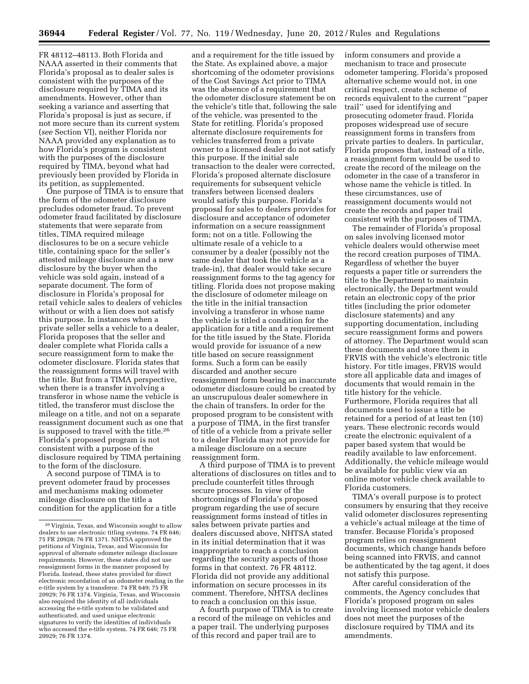FR 48112–48113. Both Florida and NAAA asserted in their comments that Florida's proposal as to dealer sales is consistent with the purposes of the disclosure required by TIMA and its amendments. However, other than seeking a variance and asserting that Florida's proposal is just as secure, if not more secure than its current system (*see* Section VI), neither Florida nor NAAA provided any explanation as to how Florida's program is consistent with the purposes of the disclosure required by TIMA, beyond what had previously been provided by Florida in its petition, as supplemented.

One purpose of TIMA is to ensure that the form of the odometer disclosure precludes odometer fraud. To prevent odometer fraud facilitated by disclosure statements that were separate from titles, TIMA required mileage disclosures to be on a secure vehicle title, containing space for the seller's attested mileage disclosure and a new disclosure by the buyer when the vehicle was sold again, instead of a separate document. The form of disclosure in Florida's proposal for retail vehicle sales to dealers of vehicles without or with a lien does not satisfy this purpose. In instances when a private seller sells a vehicle to a dealer, Florida proposes that the seller and dealer complete what Florida calls a secure reassignment form to make the odometer disclosure. Florida states that the reassignment forms will travel with the title. But from a TIMA perspective, when there is a transfer involving a transferor in whose name the vehicle is titled, the transferor must disclose the mileage on a title, and not on a separate reassignment document such as one that is supposed to travel with the title.26 Florida's proposed program is not consistent with a purpose of the disclosure required by TIMA pertaining to the form of the disclosure.

A second purpose of TIMA is to prevent odometer fraud by processes and mechanisms making odometer mileage disclosure on the title a condition for the application for a title

and a requirement for the title issued by the State. As explained above, a major shortcoming of the odometer provisions of the Cost Savings Act prior to TIMA was the absence of a requirement that the odometer disclosure statement be on the vehicle's title that, following the sale of the vehicle, was presented to the State for retitling. Florida's proposed alternate disclosure requirements for vehicles transferred from a private owner to a licensed dealer do not satisfy this purpose. If the initial sale transaction to the dealer were corrected, Florida's proposed alternate disclosure requirements for subsequent vehicle transfers between licensed dealers would satisfy this purpose. Florida's proposal for sales to dealers provides for disclosure and acceptance of odometer information on a secure reassignment form; not on a title. Following the ultimate resale of a vehicle to a consumer by a dealer (possibly not the same dealer that took the vehicle as a trade-in), that dealer would take secure reassignment forms to the tag agency for titling. Florida does not propose making the disclosure of odometer mileage on the title in the initial transaction involving a transferor in whose name the vehicle is titled a condition for the application for a title and a requirement for the title issued by the State. Florida would provide for issuance of a new title based on secure reassignment forms. Such a form can be easily discarded and another secure reassignment form bearing an inaccurate odometer disclosure could be created by an unscrupulous dealer somewhere in the chain of transfers. In order for the proposed program to be consistent with a purpose of TIMA, in the first transfer of title of a vehicle from a private seller to a dealer Florida may not provide for a mileage disclosure on a secure reassignment form.

A third purpose of TIMA is to prevent alterations of disclosures on titles and to preclude counterfeit titles through secure processes. In view of the shortcomings of Florida's proposed program regarding the use of secure reassignment forms instead of titles in sales between private parties and dealers discussed above, NHTSA stated in its initial determination that it was inappropriate to reach a conclusion regarding the security aspects of those forms in that context. 76 FR 48112. Florida did not provide any additional information on secure processes in its comment. Therefore, NHTSA declines to reach a conclusion on this issue.

A fourth purpose of TIMA is to create a record of the mileage on vehicles and a paper trail. The underlying purposes of this record and paper trail are to

inform consumers and provide a mechanism to trace and prosecute odometer tampering. Florida's proposed alternative scheme would not, in one critical respect, create a scheme of records equivalent to the current ''paper trail'' used for identifying and prosecuting odometer fraud. Florida proposes widespread use of secure reassignment forms in transfers from private parties to dealers. In particular, Florida proposes that, instead of a title, a reassignment form would be used to create the record of the mileage on the odometer in the case of a transferor in whose name the vehicle is titled. In these circumstances, use of reassignment documents would not create the records and paper trail consistent with the purposes of TIMA.

The remainder of Florida's proposal on sales involving licensed motor vehicle dealers would otherwise meet the record creation purposes of TIMA. Regardless of whether the buyer requests a paper title or surrenders the title to the Department to maintain electronically, the Department would retain an electronic copy of the prior titles (including the prior odometer disclosure statements) and any supporting documentation, including secure reassignment forms and powers of attorney. The Department would scan these documents and store them in FRVIS with the vehicle's electronic title history. For title images, FRVIS would store all applicable data and images of documents that would remain in the title history for the vehicle. Furthermore, Florida requires that all documents used to issue a title be retained for a period of at least ten (10) years. These electronic records would create the electronic equivalent of a paper based system that would be readily available to law enforcement. Additionally, the vehicle mileage would be available for public view via an online motor vehicle check available to Florida customers.

TIMA's overall purpose is to protect consumers by ensuring that they receive valid odometer disclosures representing a vehicle's actual mileage at the time of transfer. Because Florida's proposed program relies on reassignment documents, which change hands before being scanned into FRVIS, and cannot be authenticated by the tag agent, it does not satisfy this purpose.

After careful consideration of the comments, the Agency concludes that Florida's proposed program on sales involving licensed motor vehicle dealers does not meet the purposes of the disclosure required by TIMA and its amendments.

<sup>26</sup> Virginia, Texas, and Wisconsin sought to allow dealers to use electronic titling systems. 74 FR 646; 75 FR 20928; 76 FR 1371. NHTSA approved the petitions of Virginia, Texas, and Wisconsin for approval of alternate odometer mileage disclosure requirements. However, these states did not use reassignment forms in the manner proposed by Florida. Instead, these states provided for direct electronic recordation of an odometer reading in the e-title system by a transferor. 74 FR 649; 75 FR 20929; 76 FR 1374. Virginia, Texas, and Wisconsin also required the identity of all individuals accessing the e-title system to be validated and authenticated, and used unique electronic signatures to verify the identities of individuals who accessed the e-title system. 74 FR 646; 75 FR 20929; 76 FR 1374.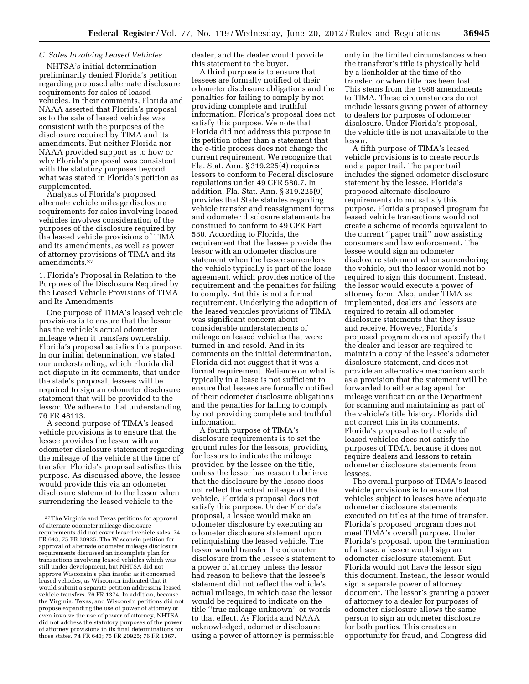# *C. Sales Involving Leased Vehicles*

NHTSA's initial determination preliminarily denied Florida's petition regarding proposed alternate disclosure requirements for sales of leased vehicles. In their comments, Florida and NAAA asserted that Florida's proposal as to the sale of leased vehicles was consistent with the purposes of the disclosure required by TIMA and its amendments. But neither Florida nor NAAA provided support as to how or why Florida's proposal was consistent with the statutory purposes beyond what was stated in Florida's petition as supplemented.

Analysis of Florida's proposed alternate vehicle mileage disclosure requirements for sales involving leased vehicles involves consideration of the purposes of the disclosure required by the leased vehicle provisions of TIMA and its amendments, as well as power of attorney provisions of TIMA and its amendments.27

1. Florida's Proposal in Relation to the Purposes of the Disclosure Required by the Leased Vehicle Provisions of TIMA and Its Amendments

One purpose of TIMA's leased vehicle provisions is to ensure that the lessor has the vehicle's actual odometer mileage when it transfers ownership. Florida's proposal satisfies this purpose. In our initial determination, we stated our understanding, which Florida did not dispute in its comments, that under the state's proposal, lessees will be required to sign an odometer disclosure statement that will be provided to the lessor. We adhere to that understanding. 76 FR 48113.

A second purpose of TIMA's leased vehicle provisions is to ensure that the lessee provides the lessor with an odometer disclosure statement regarding the mileage of the vehicle at the time of transfer. Florida's proposal satisfies this purpose. As discussed above, the lessee would provide this via an odometer disclosure statement to the lessor when surrendering the leased vehicle to the

dealer, and the dealer would provide this statement to the buyer.

A third purpose is to ensure that lessees are formally notified of their odometer disclosure obligations and the penalties for failing to comply by not providing complete and truthful information. Florida's proposal does not satisfy this purpose. We note that Florida did not address this purpose in its petition other than a statement that the e-title process does not change the current requirement. We recognize that Fla. Stat. Ann. § 319.225(4) requires lessors to conform to Federal disclosure regulations under 49 CFR 580.7. In addition, Fla. Stat. Ann. § 319.225(9) provides that State statutes regarding vehicle transfer and reassignment forms and odometer disclosure statements be construed to conform to 49 CFR Part 580. According to Florida, the requirement that the lessee provide the lessor with an odometer disclosure statement when the lessee surrenders the vehicle typically is part of the lease agreement, which provides notice of the requirement and the penalties for failing to comply. But this is not a formal requirement. Underlying the adoption of the leased vehicles provisions of TIMA was significant concern about considerable understatements of mileage on leased vehicles that were turned in and resold. And in its comments on the initial determination, Florida did not suggest that it was a formal requirement. Reliance on what is typically in a lease is not sufficient to ensure that lessees are formally notified of their odometer disclosure obligations and the penalties for failing to comply by not providing complete and truthful information.

A fourth purpose of TIMA's disclosure requirements is to set the ground rules for the lessors, providing for lessors to indicate the mileage provided by the lessee on the title, unless the lessor has reason to believe that the disclosure by the lessee does not reflect the actual mileage of the vehicle. Florida's proposal does not satisfy this purpose. Under Florida's proposal, a lessee would make an odometer disclosure by executing an odometer disclosure statement upon relinquishing the leased vehicle. The lessor would transfer the odometer disclosure from the lessee's statement to a power of attorney unless the lessor had reason to believe that the lessee's statement did not reflect the vehicle's actual mileage, in which case the lessor would be required to indicate on the title ''true mileage unknown'' or words to that effect. As Florida and NAAA acknowledged, odometer disclosure using a power of attorney is permissible

only in the limited circumstances when the transferor's title is physically held by a lienholder at the time of the transfer, or when title has been lost. This stems from the 1988 amendments to TIMA. These circumstances do not include lessors giving power of attorney to dealers for purposes of odometer disclosure. Under Florida's proposal, the vehicle title is not unavailable to the lessor.

A fifth purpose of TIMA's leased vehicle provisions is to create records and a paper trail. The paper trail includes the signed odometer disclosure statement by the lessee. Florida's proposed alternate disclosure requirements do not satisfy this purpose. Florida's proposed program for leased vehicle transactions would not create a scheme of records equivalent to the current ''paper trail'' now assisting consumers and law enforcement. The lessee would sign an odometer disclosure statement when surrendering the vehicle, but the lessor would not be required to sign this document. Instead, the lessor would execute a power of attorney form. Also, under TIMA as implemented, dealers and lessors are required to retain all odometer disclosure statements that they issue and receive. However, Florida's proposed program does not specify that the dealer and lessor are required to maintain a copy of the lessee's odometer disclosure statement, and does not provide an alternative mechanism such as a provision that the statement will be forwarded to either a tag agent for mileage verification or the Department for scanning and maintaining as part of the vehicle's title history. Florida did not correct this in its comments. Florida's proposal as to the sale of leased vehicles does not satisfy the purposes of TIMA, because it does not require dealers and lessors to retain odometer disclosure statements from lessees.

The overall purpose of TIMA's leased vehicle provisions is to ensure that vehicles subject to leases have adequate odometer disclosure statements executed on titles at the time of transfer. Florida's proposed program does not meet TIMA's overall purpose. Under Florida's proposal, upon the termination of a lease, a lessee would sign an odometer disclosure statement. But Florida would not have the lessor sign this document. Instead, the lessor would sign a separate power of attorney document. The lessor's granting a power of attorney to a dealer for purposes of odometer disclosure allows the same person to sign an odometer disclosure for both parties. This creates an opportunity for fraud, and Congress did

<sup>27</sup>The Virginia and Texas petitions for approval of alternate odometer mileage disclosure requirements did not cover leased vehicle sales. 74 FR 643; 75 FR 20925. The Wisconsin petition for approval of alternate odometer mileage disclosure requirements discussed an incomplete plan for transactions involving leased vehicles which was still under development, but NHTSA did not approve Wisconsin's plan insofar as it concerned leased vehicles, as Wisconsin indicated that it would submit a separate petition addressing leased vehicle transfers. 76 FR 1374. In addition, because the Virginia, Texas, and Wisconsin petitions did not propose expanding the use of power of attorney or even involve the use of power of attorney, NHTSA did not address the statutory purposes of the power of attorney provisions in its final determinations for those states. 74 FR 643; 75 FR 20925; 76 FR 1367.